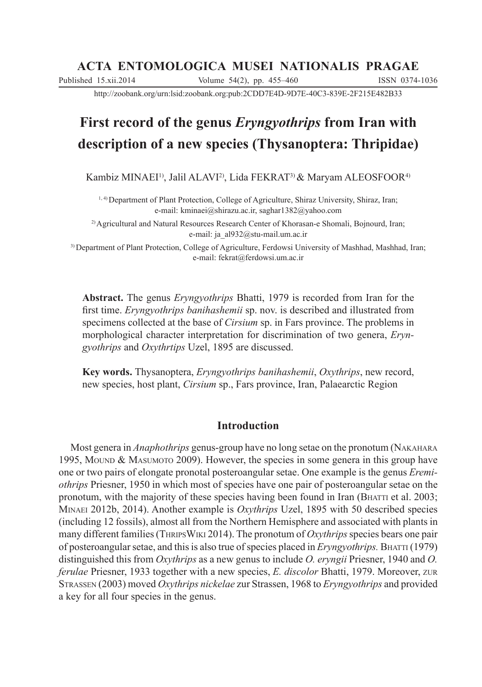# **ACTA ENTOMOLOGICA MUSEI NATIONALIS PRAGAE**

Published 15.xii.2014 Volume 54(2), pp. 455–460 ISSN 0374-1036

http://zoobank.org/urn:lsid:zoobank.org:pub:2CDD7E4D-9D7E-40C3-839E-2F215E482B33

# **First record of the genus** *Eryngyothrips* **from Iran with description of a new species (Thysanoptera: Thripidae)**

Kambiz MINAEI<sup>1)</sup>, Jalil ALAVI<sup>2)</sup>, Lida FEKRAT<sup>3)</sup> & Maryam ALEOSFOOR<sup>4)</sup>

<sup>1, 4)</sup> Department of Plant Protection, College of Agriculture, Shiraz University, Shiraz, Iran; e-mail: kminaei@shirazu.ac.ir, saghar1382@yahoo.com

2) Agricultural and Natural Resources Research Center of Khorasan-e Shomali, Bojnourd, Iran; e-mail: ja\_al932@stu-mail.um.ac.ir

3) Department of Plant Protection, College of Agriculture, Ferdowsi University of Mashhad, Mashhad, Iran; e-mail: fekrat@ferdowsi.um.ac.ir

**Abstract.** The genus *Eryngyothrips* Bhatti, 1979 is recorded from Iran for the first time. *Eryngyothrips banihashemii* sp. nov. is described and illustrated from specimens collected at the base of *Cirsium* sp. in Fars province. The problems in morphological character interpretation for discrimination of two genera, *Eryngyothrips* and *Oxythrtips* Uzel, 1895 are discussed.

**Key words.** Thysanoptera, *Eryngyothrips banihashemii*, *Oxythrips*, new record, new species, host plant, *Cirsium* sp., Fars province, Iran, Palaearctic Region

## **Introduction**

Most genera in *Anaphothrips* genus-group have no long setae on the pronotum (NAKAHARA 1995, MOUND & MASUMOTO 2009). However, the species in some genera in this group have one or two pairs of elongate pronotal posteroangular setae. One example is the genus *Eremiothrips* Priesner, 1950 in which most of species have one pair of posteroangular setae on the pronotum, with the majority of these species having been found in Iran (BHATTI et al. 2003; MINAEI 2012b, 2014). Another example is *Oxythrips* Uzel, 1895 with 50 described species (including 12 fossils), almost all from the Northern Hemisphere and associated with plants in many different families (THRIPSWIKI 2014). The pronotum of *Oxythrips*species bears one pair of posteroangular setae, and this is also true of species placed in *Eryngyothrips.* BHATTI (1979) distinguished this from *Oxythrips* as a new genus to include *O. eryngii* Priesner, 1940 and *O. ferulae* Priesner, 1933 together with a new species, *E. discolor* Bhatti, 1979. Moreover, ZUR STRASSEN (2003) moved *Oxythrips nickelae* zur Strassen, 1968 to *Eryngyothrips* and provided a key for all four species in the genus.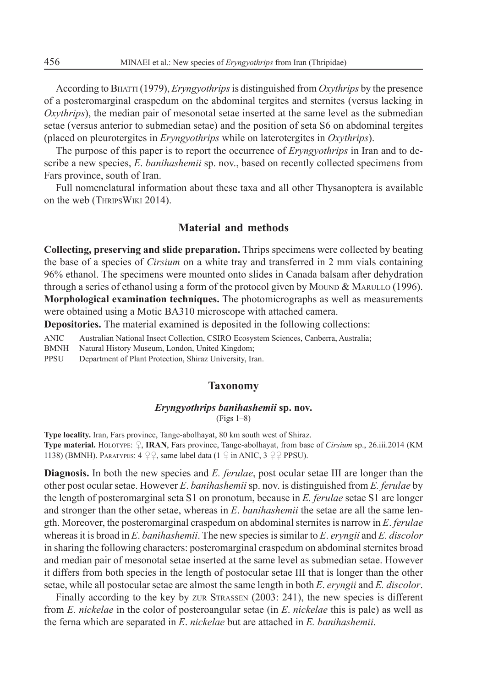According to B<sub>HATTI</sub> (1979), *Eryngyothrips* is distinguished from *Oxythrips* by the presence of a posteromarginal craspedum on the abdominal tergites and sternites (versus lacking in *Oxythrips*), the median pair of mesonotal setae inserted at the same level as the submedian setae (versus anterior to submedian setae) and the position of seta S6 on abdominal tergites (placed on pleurotergites in *Eryngyothrips* while on laterotergites in *Oxythrips*).

The purpose of this paper is to report the occurrence of *Eryngyothrips* in Iran and to describe a new species, *E*. *banihashemii* sp. nov., based on recently collected specimens from Fars province, south of Iran.

Full nomenclatural information about these taxa and all other Thysanoptera is available on the web (THRIPSWIKI 2014).

### **Material and methods**

**Collecting, preserving and slide preparation.** Thrips specimens were collected by beating the base of a species of *Cirsium* on a white tray and transferred in 2 mm vials containing 96% ethanol. The specimens were mounted onto slides in Canada balsam after dehydration through a series of ethanol using a form of the protocol given by MOUND & MARULLO (1996). **Morphological examination techniques.** The photomicrographs as well as measurements were obtained using a Motic BA310 microscope with attached camera.

**Depositories.** The material examined is deposited in the following collections:

ANIC Australian National Insect Collection, CSIRO Ecosystem Sciences, Canberra, Australia;

BMNH Natural History Museum, London, United Kingdom;

PPSU Department of Plant Protection, Shiraz University, Iran.

#### **Taxonomy**

#### *Eryngyothrips banihashemii* **sp. nov.** (Figs 1–8)

**Type locality.** Iran, Fars province, Tange-abolhayat, 80 km south west of Shiraz. **Type material.** HOLOTYPE:  $\Omega$ , **IRAN**, Fars province, Tange-abolhayat, from base of *Cirsium* sp., 26.iii.2014 (KM 1138) (BMNH). PARATYPES:  $4 \text{ } \mathcal{Q} \mathcal{Q}$ , same label data (1  $\mathcal{Q}$  in ANIC, 3  $\mathcal{Q} \mathcal{Q}$  PPSU).

**Diagnosis.** In both the new species and *E. ferulae*, post ocular setae III are longer than the other post ocular setae. However *E*. *banihashemii*sp. nov. is distinguished from *E. ferulae* by the length of posteromarginal seta S1 on pronotum, because in *E. ferulae* setae S1 are longer and stronger than the other setae, whereas in *E*. *banihashemii* the setae are all the same length. Moreover, the posteromarginal craspedum on abdominal sternites is narrow in *E*. *ferulae* whereas it is broad in *E*. *banihashemii*. The new species is similar to *E*. *eryngii* and *E. discolor* in sharing the following characters: posteromarginal craspedum on abdominal sternites broad and median pair of mesonotal setae inserted at the same level as submedian setae. However it differs from both species in the length of postocular setae III that is longer than the other setae, while all postocular setae are almost the same length in both *E*. *eryngii* and *E. discolor*.

Finally according to the key by ZUR STRASSEN (2003: 241), the new species is different from *E. nickelae* in the color of posteroangular setae (in *E*. *nickelae* this is pale) as well as the ferna which are separated in *E*. *nickelae* but are attached in *E. banihashemii*.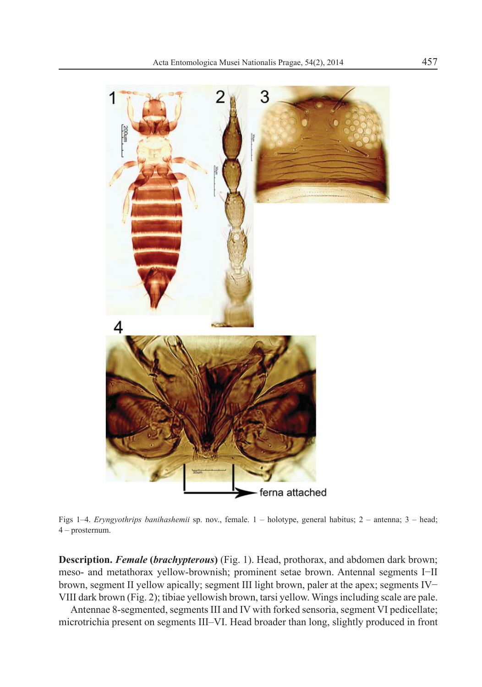

Figs 1–4. *Eryngyothrips banihashemii* sp. nov., female. 1 – holotype, general habitus; 2 – antenna; 3 – head; 4 – prosternum.

**Description.** *Female* **(***brachypterous***)** (Fig. 1). Head, prothorax, and abdomen dark brown; meso- and metathorax yellow-brownish; prominent setae brown. Antennal segments I-II brown, segment II yellow apically; segment III light brown, paler at the apex; segments IV-VIII dark brown (Fig. 2); tibiae yellowish brown, tarsi yellow. Wings including scale are pale.

Antennae 8-segmented, segments III and IV with forked sensoria, segment VI pedicellate; microtrichia present on segments III–VI. Head broader than long, slightly produced in front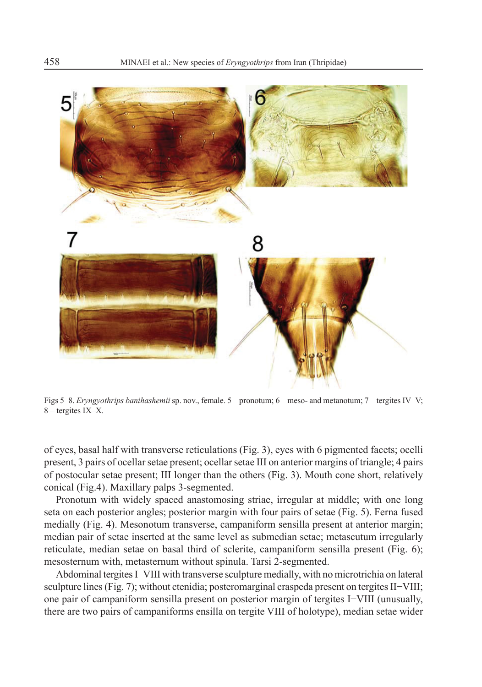

Figs 5–8. *Eryngyothrips banihashemii* sp. nov., female. 5 – pronotum; 6 – meso- and metanotum; 7 – tergites IV–V; 8 – tergites IX–X.

of eyes, basal half with transverse reticulations (Fig. 3), eyes with 6 pigmented facets; ocelli present, 3 pairs of ocellar setae present; ocellar setae III on anterior margins of triangle; 4 pairs of postocular setae present; III longer than the others (Fig. 3). Mouth cone short, relatively conical (Fig.4). Maxillary palps 3-segmented.

Pronotum with widely spaced anastomosing striae, irregular at middle; with one long seta on each posterior angles; posterior margin with four pairs of setae (Fig. 5). Ferna fused medially (Fig. 4). Mesonotum transverse, campaniform sensilla present at anterior margin; median pair of setae inserted at the same level as submedian setae; metascutum irregularly reticulate, median setae on basal third of sclerite, campaniform sensilla present (Fig. 6); mesosternum with, metasternum without spinula. Tarsi 2-segmented.

Abdominal tergites I–VIII with transverse sculpture medially, with no microtrichia on lateral sculpture lines (Fig. 7); without ctenidia; posteromarginal craspeda present on tergites II–VIII; one pair of campaniform sensilla present on posterior margin of tergites I–VIII (unusually, there are two pairs of campaniforms ensilla on tergite VIII of holotype), median setae wider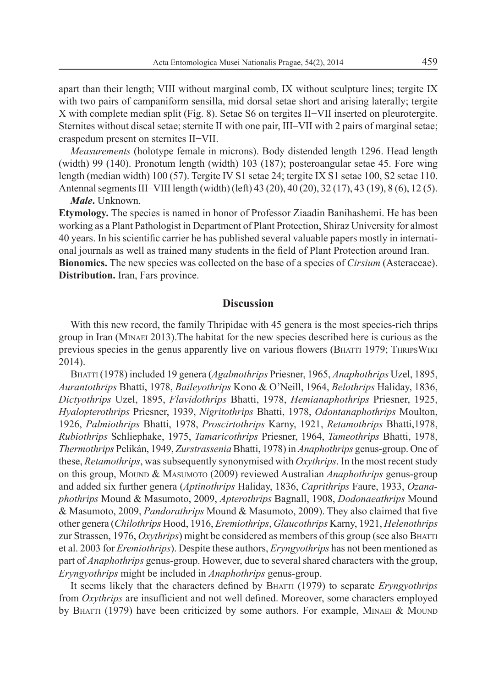apart than their length; VIII without marginal comb, IX without sculpture lines; tergite IX with two pairs of campaniform sensilla, mid dorsal setae short and arising laterally; tergite  $X$  with complete median split (Fig. 8). Setae S6 on tergites II–VII inserted on pleurotergite. Sternites without discal setae; sternite II with one pair, III–VII with 2 pairs of marginal setae; craspedum present on sternites II-VII.

*Measurements* (holotype female in microns). Body distended length 1296. Head length (width) 99 (140). Pronotum length (width) 103 (187); posteroangular setae 45. Fore wing length (median width) 100 (57). Tergite IV S1 setae 24; tergite IX S1 setae 100, S2 setae 110. Antennal segments III–VIII length (width) (left) 43 (20), 40 (20), 32 (17), 43 (19), 8 (6), 12 (5). *Male***.** Unknown.

**Etymology.** The species is named in honor of Professor Ziaadin Banihashemi. He has been working as a Plant Pathologist in Department of Plant Protection, Shiraz University for almost 40 years. In his scientific carrier he has published several valuable papers mostly in international journals as well as trained many students in the field of Plant Protection around Iran. **Bionomics.** The new species was collected on the base of a species of *Cirsium* (Asteraceae). **Distribution.** Iran, Fars province.

## **Discussion**

With this new record, the family Thripidae with 45 genera is the most species-rich thrips group in Iran (MINAEI 2013).The habitat for the new species described here is curious as the previous species in the genus apparently live on various flowers (BHATTI 1979; THRIPSWIKI 2014).

BHATTI (1978) included 19 genera (*Agalmothrips* Priesner, 1965, *Anaphothrips* Uzel, 1895, *Aurantothrips* Bhatti, 1978, *Baileyothrips* Kono & O'Neill, 1964, *Belothrips* Haliday, 1836, *Dictyothrips* Uzel, 1895, *Flavidothrips* Bhatti, 1978, *Hemianaphothrips* Priesner, 1925, *Hyalopterothrips* Priesner, 1939, *Nigritothrips* Bhatti, 1978, *Odontanaphothrips* Moulton, 1926, *Palmiothrips* Bhatti, 1978, *Proscirtothrips* Karny, 1921, *Retamothrips* Bhatti,1978, *Rubiothrips* Schliephake, 1975, *Tamaricothrips* Priesner, 1964, *Tameothrips* Bhatti, 1978, *Thermothrips* Pelikán, 1949, *Zurstrassenia* Bhatti, 1978) in *Anaphothrips* genus-group. One of these, *Retamothrips*, was subsequently synonymised with *Oxythrips*. In the most recent study on this group, MOUND & MASUMOTO (2009) reviewed Australian *Anaphothrips* genus-group and added six further genera (*Aptinothrips* Haliday, 1836, *Caprithrips* Faure, 1933, *Ozanaphothrips* Mound & Masumoto, 2009, *Apterothrips* Bagnall, 1908, *Dodonaeathrips* Mound & Masumoto, 2009, *Pandorathrips* Mound & Masumoto, 2009). They also claimed that five other genera (*Chilothrips* Hood, 1916, *Eremiothrips*, *Glaucothrips* Karny, 1921, *Helenothrips* zur Strassen, 1976, *Oxythrips*) might be considered as members of this group (see also BHATTI et al. 2003 for *Eremiothrips*). Despite these authors, *Eryngyothrips* has not been mentioned as part of *Anaphothrips* genus-group. However, due to several shared characters with the group, *Eryngyothrips* might be included in *Anaphothrips* genus-group.

It seems likely that the characters defined by BHATTI (1979) to separate *Eryngyothrips* from *Oxythrips* are insufficient and not well defined. Moreover, some characters employed by BHATTI (1979) have been criticized by some authors. For example, MINAEI & MOUND